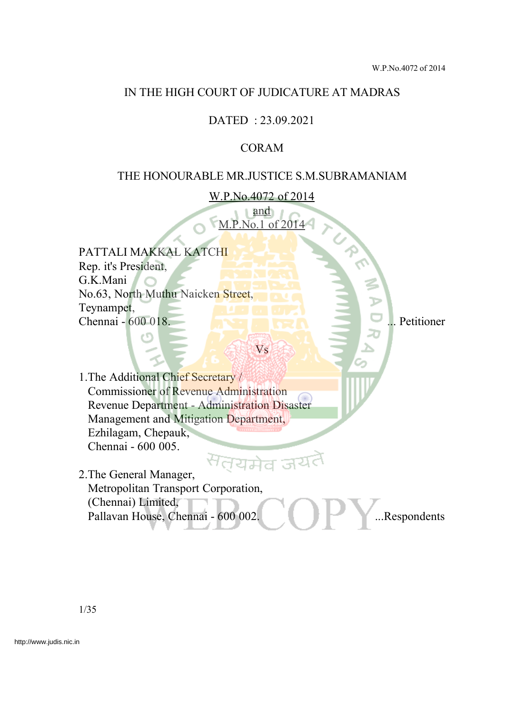## IN THE HIGH COURT OF JUDICATURE AT MADRAS

# DATED : 23.09.2021

## CORAM

### THE HONOURABLE MR.JUSTICE S.M.SUBRAMANIAM

W.P.No.4072 of 2014

and M.P.No.1 of 2014

Vs

PATTALI MAKKAL KATCHI Rep. it's President, G.K.Mani No.63, North Muthu Naicken Street, Teynampet, Chennai - 600 018. ... **... Petitioner Chennai - 600 018.** ... Petitioner

1.The Additional Chief Secretary / Commissioner of Revenue Administration Revenue Department - Administration Disaster Management and Mitigation Department, Ezhilagam, Chepauk, Chennai - 600 005.

<sup>स</sup>त्यमेव जय 2.The General Manager, Metropolitan Transport Corporation, (Chennai) Limited, Pallavan House, Chennai - 600 002. ...Respondents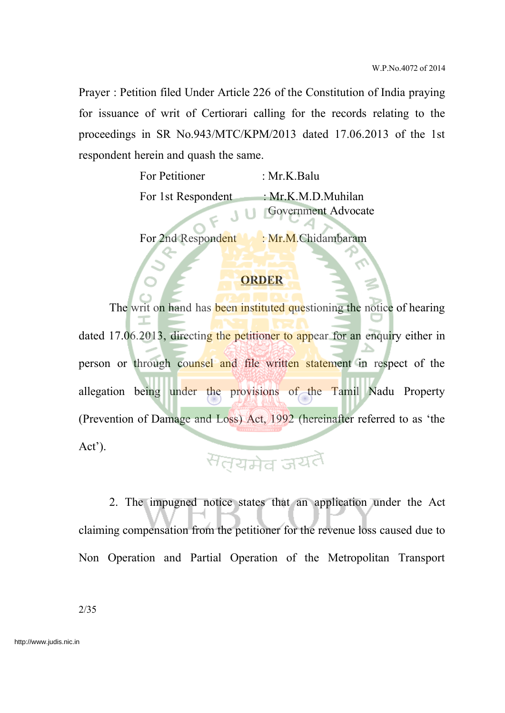Prayer : Petition filed Under Article 226 of the Constitution of India praying for issuance of writ of Certiorari calling for the records relating to the proceedings in SR No.943/MTC/KPM/2013 dated 17.06.2013 of the 1st respondent herein and quash the same.

| For Petitioner     | : Mr.K.Balu                |
|--------------------|----------------------------|
| For 1st Respondent | : $Mr.K.M.D.Muhilan$       |
|                    | <b>Government Advocate</b> |

For 2nd Respondent : Mr.M.Chidambaram

#### **ORDER**

The writ on hand has **been instituted que**stioning the notice of hearing dated 17.06.2013, directing the petitioner to appear for an enquiry either in person or through counsel and file written statement in respect of the allegation being under the provisions of the Tamil Nadu Property (Prevention of Damage and Loss) Act, 1992 (hereinafter referred to as 'the Act').

# सतयमेव जयतै

2. The impugned notice states that an application under the Act claiming compensation from the petitioner for the revenue loss caused due to Non Operation and Partial Operation of the Metropolitan Transport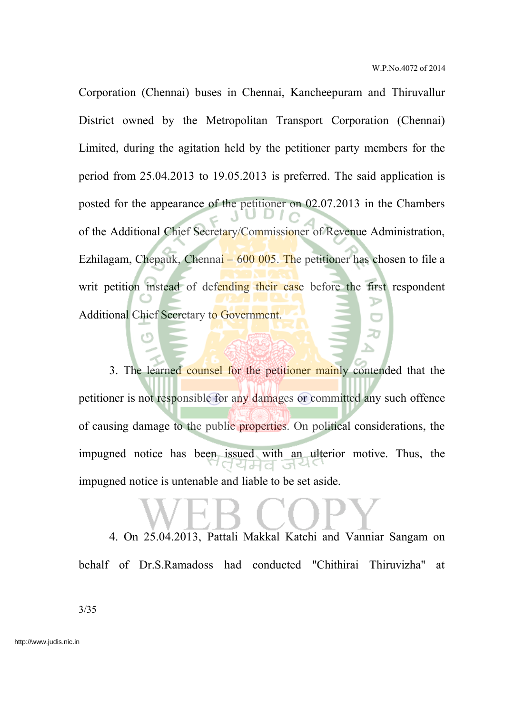Corporation (Chennai) buses in Chennai, Kancheepuram and Thiruvallur District owned by the Metropolitan Transport Corporation (Chennai) Limited, during the agitation held by the petitioner party members for the period from 25.04.2013 to 19.05.2013 is preferred. The said application is posted for the appearance of the petitioner on 02.07.2013 in the Chambers of the Additional Chief Secretary/Commissioner of Revenue Administration, Ezhilagam, Chepauk, Chennai –  $600\,005$ . The petitioner has chosen to file a writ petition instead of defending their case before the first respondent Additional Chief Secretary to Government.

3. The learned counsel for the petitioner mainly contended that the petitioner is not responsible for any damages or committed any such offence of causing damage to the public properties. On political considerations, the impugned notice has been issued with an ulterior motive. Thus, the impugned notice is untenable and liable to be set aside.

4. On 25.04.2013, Pattali Makkal Katchi and Vanniar Sangam on behalf of Dr.S.Ramadoss had conducted "Chithirai Thiruvizha" at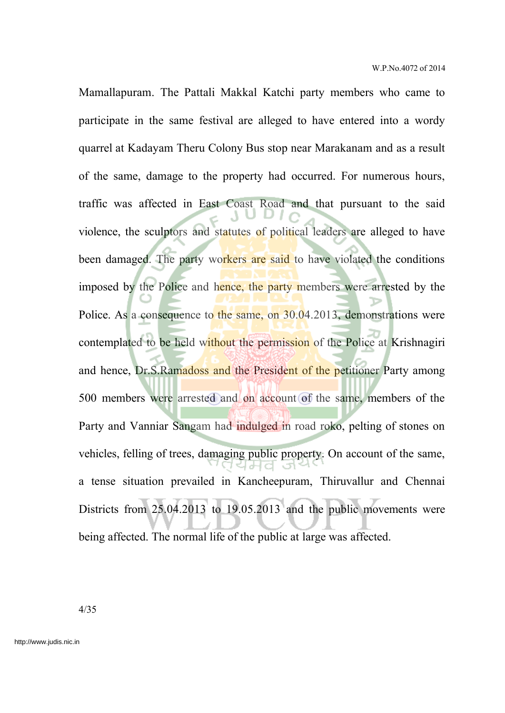Mamallapuram. The Pattali Makkal Katchi party members who came to participate in the same festival are alleged to have entered into a wordy quarrel at Kadayam Theru Colony Bus stop near Marakanam and as a result of the same, damage to the property had occurred. For numerous hours, traffic was affected in East Coast Road and that pursuant to the said violence, the sculptors and statutes of political leaders are alleged to have been damaged. The party workers are said to have violated the conditions imposed by the Police and hence, the party members were arrested by the Police. As a consequence to the same, on 30.04.2013, demonstrations were contemplated to be held without the permission of the Police at Krishnagiri and hence, Dr.S.Ramadoss and the President of the petitioner Party among 500 members were arrested and on account of the same, members of the Party and Vanniar Sangam had indulged in road roko, pelting of stones on vehicles, felling of trees, damaging public property. On account of the same, a tense situation prevailed in Kancheepuram, Thiruvallur and Chennai Districts from 25.04.2013 to 19.05.2013 and the public movements were being affected. The normal life of the public at large was affected.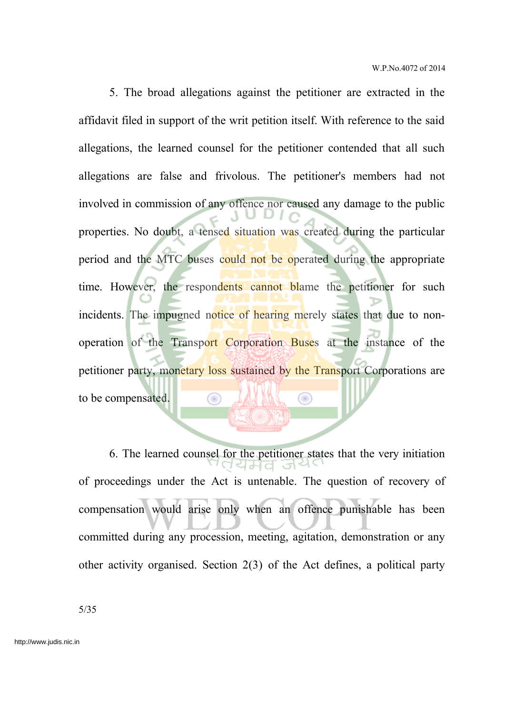5. The broad allegations against the petitioner are extracted in the affidavit filed in support of the writ petition itself. With reference to the said allegations, the learned counsel for the petitioner contended that all such allegations are false and frivolous. The petitioner's members had not involved in commission of any offence nor caused any damage to the public properties. No doubt, a tensed situation was created during the particular period and the MTC buses could not be operated during the appropriate time. However, the respondents cannot blame the petitioner for such incidents. The impugned notice of hearing merely states that due to nonoperation of the Transport Corporation Buses at the instance of the petitioner party, monetary loss sustained by the Transport Corporations are to be compensated. œ

6. The learned counsel for the petitioner states that the very initiation of proceedings under the Act is untenable. The question of recovery of compensation would arise only when an offence punishable has been committed during any procession, meeting, agitation, demonstration or any other activity organised. Section 2(3) of the Act defines, a political party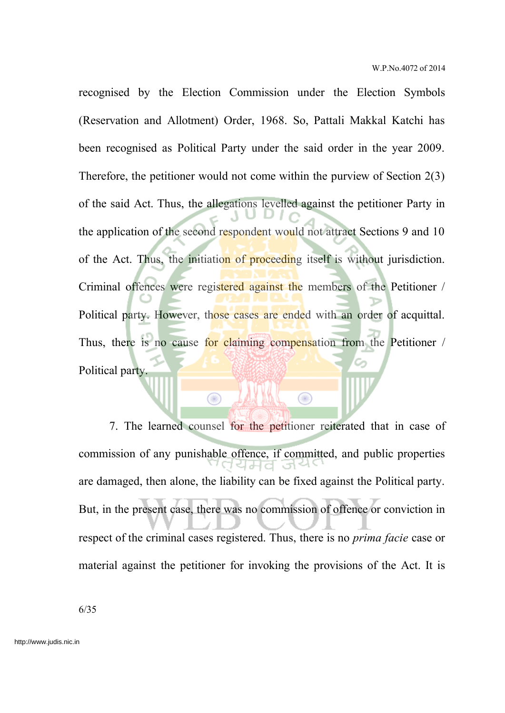recognised by the Election Commission under the Election Symbols (Reservation and Allotment) Order, 1968. So, Pattali Makkal Katchi has been recognised as Political Party under the said order in the year 2009. Therefore, the petitioner would not come within the purview of Section 2(3) of the said Act. Thus, the allegations levelled against the petitioner Party in the application of the second respondent would not attract Sections 9 and 10 of the Act. Thus, the initiation of proceeding itself is without jurisdiction. Criminal offences were registered against the members of the Petitioner / Political party. However, those cases are ended with an order of acquittal. Thus, there is no cause for claiming compensation from the Petitioner / Political party.

7. The learned counsel for the petitioner reiterated that in case of commission of any punishable offence, if committed, and public properties are damaged, then alone, the liability can be fixed against the Political party. But, in the present case, there was no commission of offence or conviction in respect of the criminal cases registered. Thus, there is no *prima facie* case or material against the petitioner for invoking the provisions of the Act. It is

⋒

 $\bigcirc$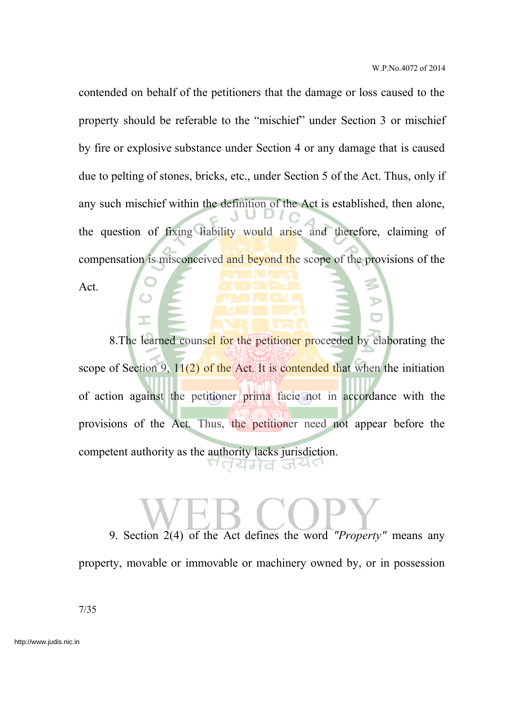contended on behalf of the petitioners that the damage or loss caused to the property should be referable to the "mischief" under Section 3 or mischief by fire or explosive substance under Section 4 or any damage that is caused due to pelting of stones, bricks, etc., under Section 5 of the Act. Thus, only if any such mischief within the definition of the Act is established, then alone, the question of fixing liability would arise and therefore, claiming of compensation is misconceived and beyond the scope of the provisions of the

Act.

8. The learned counsel for the petitioner proceeded by elaborating the scope of Section 9,  $11(2)$  of the Act. It is contended that when the initiation of action against the petitioner prima facie not in accordance with the provisions of the Act. Thus, the petitioner need not appear before the competent authority as the authority lacks jurisdiction. उन 1੫ਸਰ

9. Section 2(4) of the Act defines the word *"Property"* means any property, movable or immovable or machinery owned by, or in possession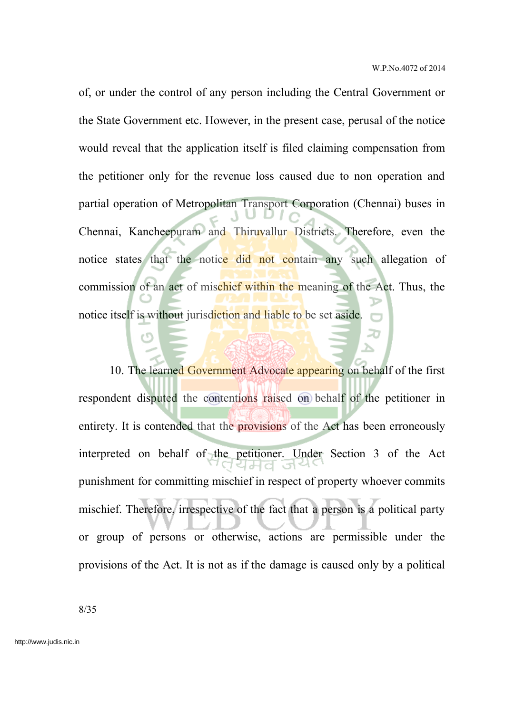of, or under the control of any person including the Central Government or the State Government etc. However, in the present case, perusal of the notice would reveal that the application itself is filed claiming compensation from the petitioner only for the revenue loss caused due to non operation and partial operation of Metropolitan Transport Corporation (Chennai) buses in Chennai, Kancheepuram and Thiruvallur Districts. Therefore, even the notice states that the notice did not contain any such allegation of commission of an act of mischief within the meaning of the Act. Thus, the notice itself is without jurisdiction and liable to be set aside.

10. The learned Government Advocate appearing on behalf of the first respondent disputed the contentions raised on behalf of the petitioner in entirety. It is contended that the provisions of the Act has been erroneously interpreted on behalf of the petitioner. Under Section 3 of the Act punishment for committing mischief in respect of property whoever commits mischief. Therefore, irrespective of the fact that a person is a political party or group of persons or otherwise, actions are permissible under the provisions of the Act. It is not as if the damage is caused only by a political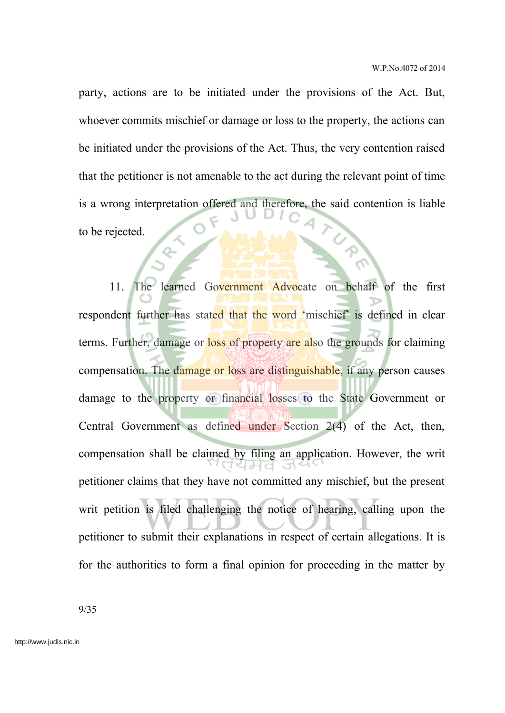party, actions are to be initiated under the provisions of the Act. But, whoever commits mischief or damage or loss to the property, the actions can be initiated under the provisions of the Act. Thus, the very contention raised that the petitioner is not amenable to the act during the relevant point of time is a wrong interpretation offered and therefore, the said contention is liable to be rejected.

Q.

11. The learned Government Advocate on behalf of the first respondent further has stated that the word 'mischief' is defined in clear terms. Further, damage or loss of property are also the grounds for claiming compensation. The damage or loss are distinguishable, if any person causes damage to the property or financial losses to the State Government or Central Government as defined under Section 2(4) of the Act, then, compensation shall be claimed by filing an application. However, the writ petitioner claims that they have not committed any mischief, but the present writ petition is filed challenging the notice of hearing, calling upon the petitioner to submit their explanations in respect of certain allegations. It is for the authorities to form a final opinion for proceeding in the matter by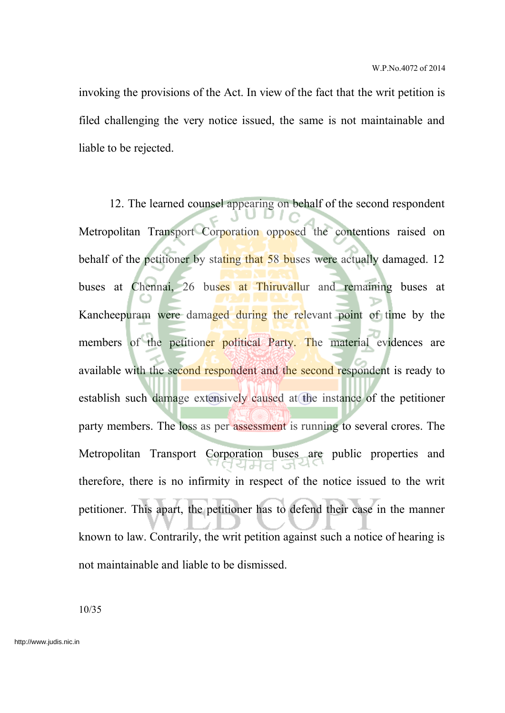invoking the provisions of the Act. In view of the fact that the writ petition is filed challenging the very notice issued, the same is not maintainable and liable to be rejected.

12. The learned counsel appearing on behalf of the second respondent Metropolitan Transport Corporation opposed the contentions raised on behalf of the petitioner by stating that 58 buses were actually damaged. 12 buses at Chennai, 26 buses at Thiruvallur and remaining buses at Kancheepuram were damaged during the relevant point of time by the members of the petitioner political Party. The material evidences are available with the second respondent and the second respondent is ready to establish such damage extensively caused at the instance of the petitioner party members. The loss as per assessment is running to several crores. The Metropolitan Transport Corporation buses are public properties and therefore, there is no infirmity in respect of the notice issued to the writ petitioner. This apart, the petitioner has to defend their case in the manner known to law. Contrarily, the writ petition against such a notice of hearing is not maintainable and liable to be dismissed.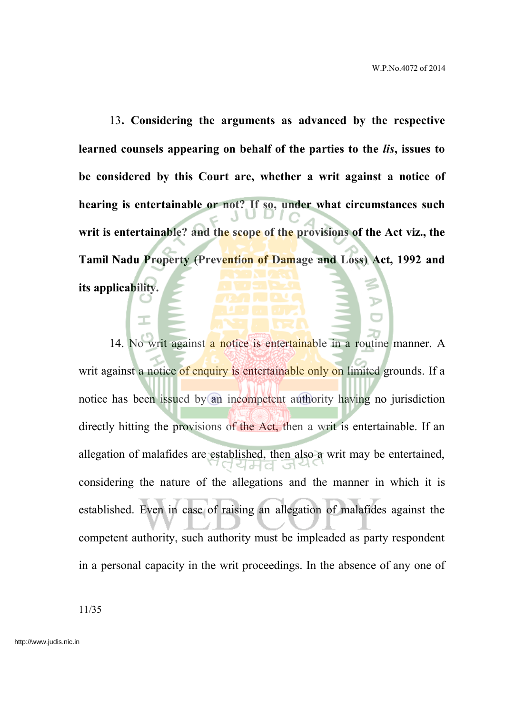13**. Considering the arguments as advanced by the respective learned counsels appearing on behalf of the parties to the** *lis***, issues to be considered by this Court are, whether a writ against a notice of hearing is entertainable or not? If so, under what circumstances such writ is entertainable? and the scope of the provisions of the Act viz., the Tamil Nadu Property (Prevention of Damage and Loss) Act, 1992 and**

**its applicability.**

14. No writ against a notice is entertainable in a routine manner. A writ against a notice of enquiry is entertainable only on limited grounds. If a notice has been issued by an incompetent authority having no jurisdiction directly hitting the provisions of the Act, then a writ is entertainable. If an allegation of malafides are established, then also a writ may be entertained, considering the nature of the allegations and the manner in which it is established. Even in case of raising an allegation of malafides against the competent authority, such authority must be impleaded as party respondent in a personal capacity in the writ proceedings. In the absence of any one of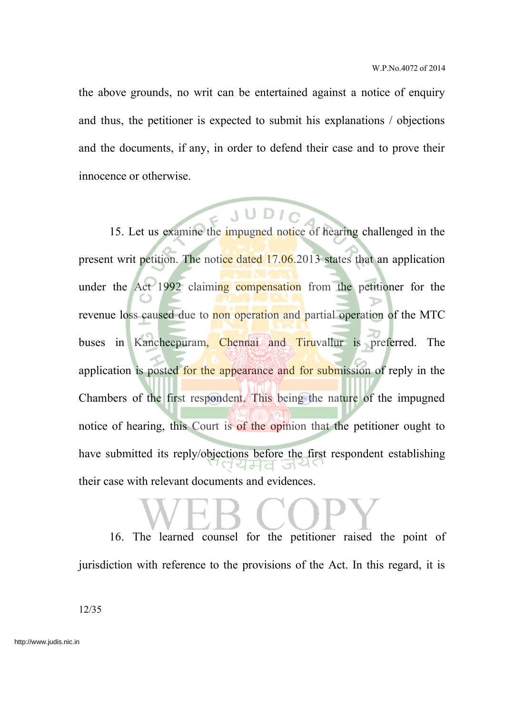the above grounds, no writ can be entertained against a notice of enquiry and thus, the petitioner is expected to submit his explanations / objections and the documents, if any, in order to defend their case and to prove their innocence or otherwise.

15. Let us examine the impugned notice of hearing challenged in the present writ petition. The notice dated 17.06.2013 states that an application under the Act 1992 claiming compensation from the petitioner for the revenue loss caused due to non operation and partial operation of the MTC buses in Kancheepuram, Chennai and Tiruvallur is preferred. The application is posted for the appearance and for submission of reply in the Chambers of the first respondent. This being the nature of the impugned notice of hearing, this Court is of the opinion that the petitioner ought to have submitted its reply/objections before the first respondent establishing their case with relevant documents and evidences.

16. The learned counsel for the petitioner raised the point of jurisdiction with reference to the provisions of the Act. In this regard, it is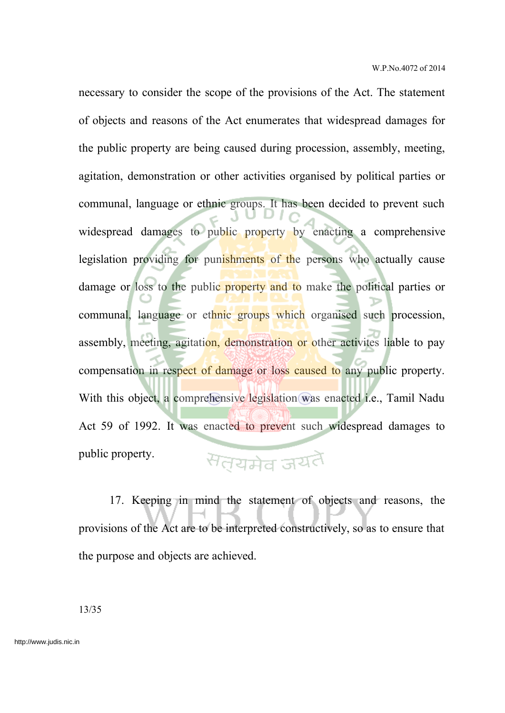necessary to consider the scope of the provisions of the Act. The statement of objects and reasons of the Act enumerates that widespread damages for the public property are being caused during procession, assembly, meeting, agitation, demonstration or other activities organised by political parties or communal, language or ethnic groups. It has been decided to prevent such widespread damages to public property by enacting a comprehensive legislation providing for punishments of the persons who actually cause damage or loss to the public property and to make the political parties or communal, language or ethnic groups which organised such procession, assembly, meeting, agitation, demonstration or other activites liable to pay compensation in respect of damage or loss caused to any public property. With this object, a comprehensive legislation was enacted *i.e.*, Tamil Nadu Act 59 of 1992. It was enacted to prevent such widespread damages to public property. सतयमेव जयतै

17. Keeping in mind the statement of objects and reasons, the provisions of the Act are to be interpreted constructively, so as to ensure that the purpose and objects are achieved.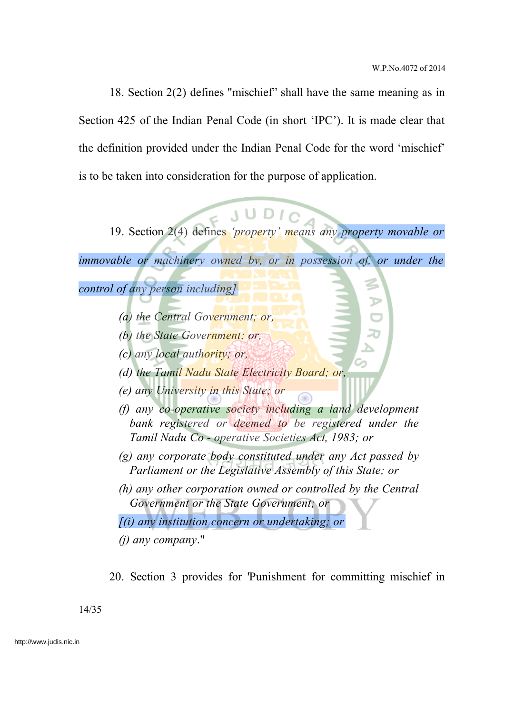18. Section 2(2) defines "mischief" shall have the same meaning as in Section 425 of the Indian Penal Code (in short 'IPC'). It is made clear that the definition provided under the Indian Penal Code for the word 'mischief' is to be taken into consideration for the purpose of application.

19. Section 2(4) defines *'property' means any property movable or*

*immovable or machinery owned by, or in possession of, or under the*

*control of any person including]*

- *(a) the Central Government; or,*
- *(b) the State Government; or,*
- *(c) any local authority; or,*
- *(d) the Tamil Nadu State Electricity Board; or,*
- *(e) any University in this State; or*
- *(f) any co-operative society including a land development bank registered or deemed to be registered under the Tamil Nadu Co - operative Societies Act, 1983; or*
- *(g) any corporate body constituted under any Act passed by Parliament or the Legislative Assembly of this State; or*
- *(h) any other corporation owned or controlled by the Central Government or the State Government; or*

*[(i) any institution concern or undertaking; or*

*(j) any company*."

20. Section 3 provides for 'Punishment for committing mischief in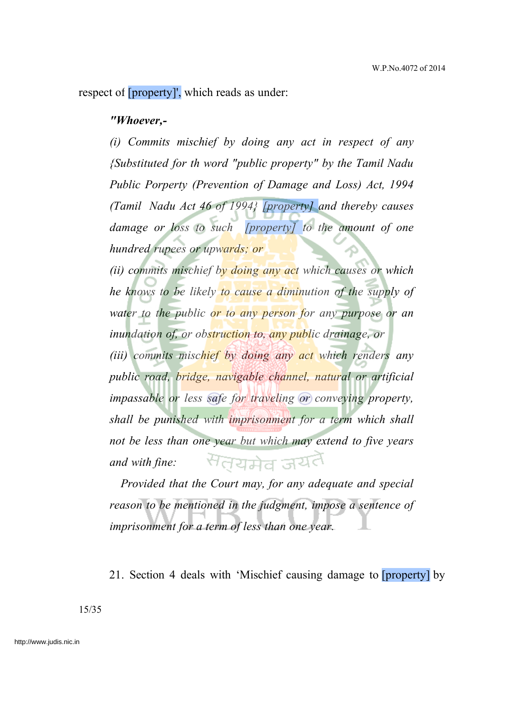respect of [property]', which reads as under:

#### *"Whoever,-*

*(i) Commits mischief by doing any act in respect of any {Substituted for th word "public property" by the Tamil Nadu Public Porperty (Prevention of Damage and Loss) Act, 1994 (Tamil Nadu Act 46 of 1994} [property] and thereby causes damage or loss to such [property] to the amount of one hundred rupees or upwards; or*

*(ii) commits mischief by doing any act which causes or which he knows to be likely to cause a diminution of the supply of water to the public or to any person for any purpose or an inundation of, or obstruction to, any public drainage, or (iii) commits mischief by doing any act which renders any public road, bridge, navigable channel, natural or artificial impassable or less safe for traveling or conveying property, shall be punished with imprisonment for a term which shall not be less than one year but which may extend to five years* सतयमेव जयत *and with fine:*

*Provided that the Court may, for any adequate and special reason to be mentioned in the judgment, impose a sentence of imprisonment for a term of less than one year.*

21. Section 4 deals with 'Mischief causing damage to [property] by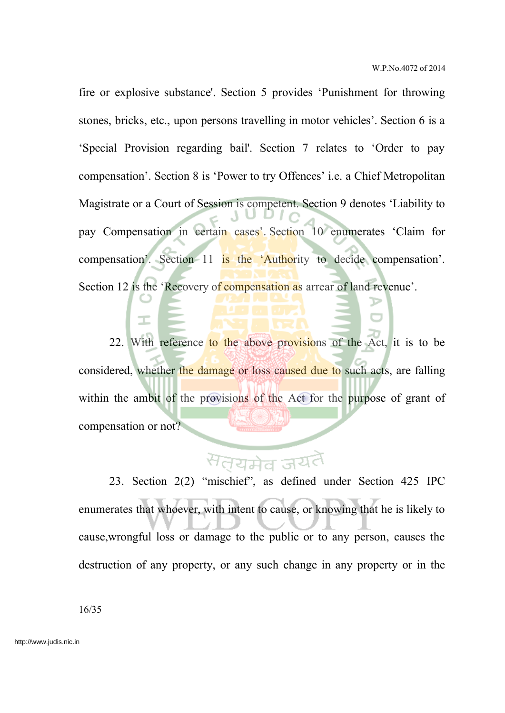fire or explosive substance'. Section 5 provides 'Punishment for throwing stones, bricks, etc., upon persons travelling in motor vehicles'. Section 6 is a 'Special Provision regarding bail'. Section 7 relates to 'Order to pay compensation'. Section 8 is 'Power to try Offences' i.e. a Chief Metropolitan Magistrate or a Court of Session is competent. Section 9 denotes 'Liability to pay Compensation in certain cases'. Section 10 enumerates 'Claim for compensation'. Section 11 is the 'Authority to decide compensation'. Section 12 is the 'Recovery of compensation as arrear of land revenue'.

22. With reference to the above provisions of the Act, it is to be considered, whether the damage or loss caused due to such acts, are falling within the ambit of the provisions of the Act for the purpose of grant of compensation or not?

# <sup>स</sup>त्यमेव ज

23. Section 2(2) "mischief", as defined under Section 425 IPC enumerates that whoever, with intent to cause, or knowing that he is likely to cause,wrongful loss or damage to the public or to any person, causes the destruction of any property, or any such change in any property or in the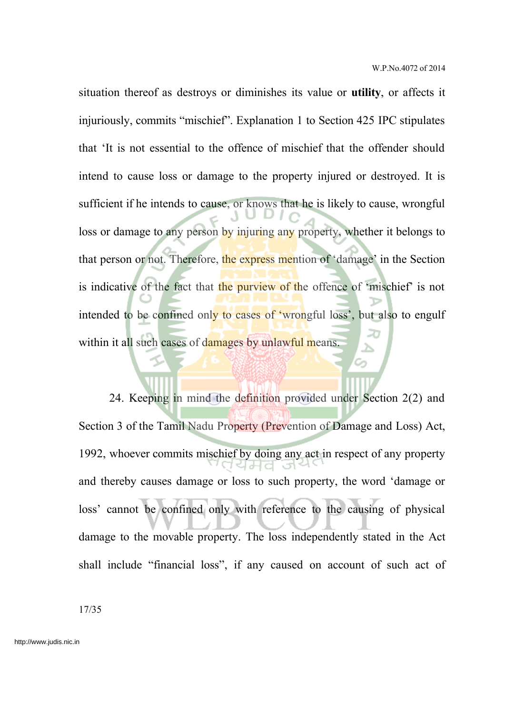situation thereof as destroys or diminishes its value or **utility**, or affects it injuriously, commits "mischief". Explanation 1 to Section 425 IPC stipulates that 'It is not essential to the offence of mischief that the offender should intend to cause loss or damage to the property injured or destroyed. It is sufficient if he intends to cause, or knows that he is likely to cause, wrongful loss or damage to any person by injuring any property, whether it belongs to that person or not. Therefore, the express mention of 'damage' in the Section is indicative of the fact that the purview of the offence of 'mischief' is not intended to be confined only to cases of 'wrongful loss', but also to engulf within it all such cases of damages by unlawful means.

24. Keeping in mind the definition provided under Section 2(2) and Section 3 of the Tamil Nadu Property (Prevention of Damage and Loss) Act, 1992, whoever commits mischief by doing any act in respect of any property and thereby causes damage or loss to such property, the word 'damage or loss' cannot be confined only with reference to the causing of physical damage to the movable property. The loss independently stated in the Act shall include "financial loss", if any caused on account of such act of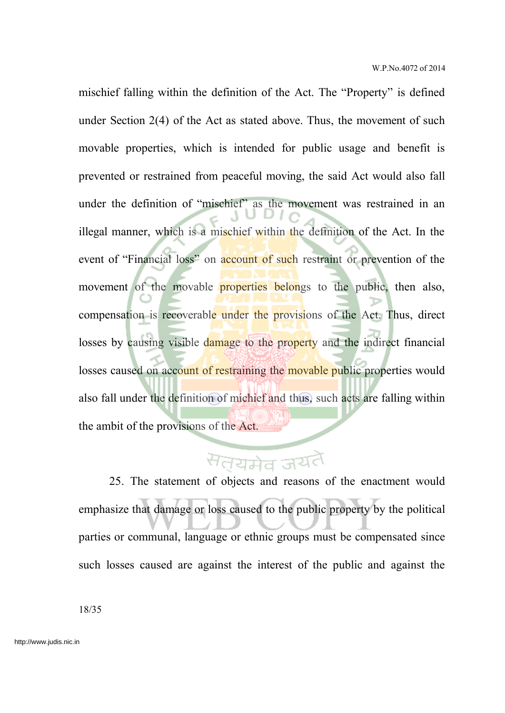mischief falling within the definition of the Act. The "Property" is defined under Section 2(4) of the Act as stated above. Thus, the movement of such movable properties, which is intended for public usage and benefit is prevented or restrained from peaceful moving, the said Act would also fall under the definition of "mischief" as the movement was restrained in an illegal manner, which is a mischief within the definition of the Act. In the event of "Financial loss" on account of such restraint or prevention of the movement of the movable properties belongs to the public, then also, compensation is recoverable under the provisions of the Act. Thus, direct losses by causing visible damage to the property and the indirect financial losses caused on account of restraining the movable public properties would also fall under the definition of michief and thus, such acts are falling within the ambit of the provisions of the Act.

# सतयमेव जयतै

25. The statement of objects and reasons of the enactment would emphasize that damage or loss caused to the public property by the political parties or communal, language or ethnic groups must be compensated since such losses caused are against the interest of the public and against the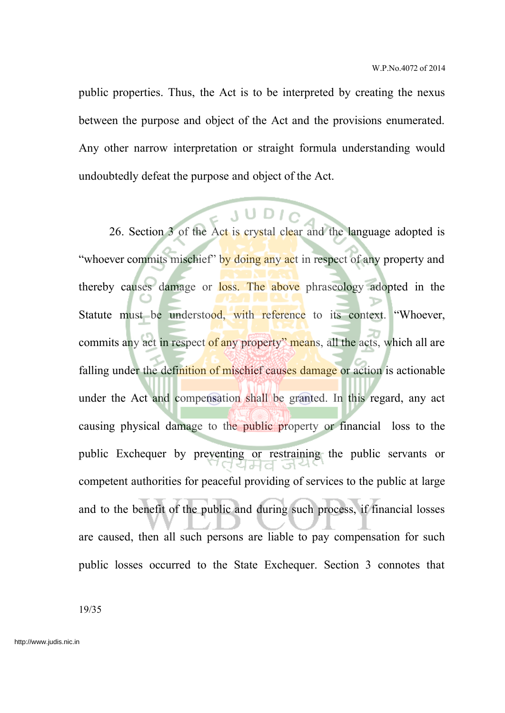public properties. Thus, the Act is to be interpreted by creating the nexus between the purpose and object of the Act and the provisions enumerated. Any other narrow interpretation or straight formula understanding would undoubtedly defeat the purpose and object of the Act.

26. Section 3 of the Act is crystal clear and the language adopted is "whoever commits mischief" by doing any act in respect of any property and thereby causes damage or loss. The above phraseology adopted in the Statute must be understood, with reference to its context. "Whoever, commits any act in respect of any property" means, all the acts, which all are falling under the definition of mischief causes damage or action is actionable under the Act and compensation shall be granted. In this regard, any act causing physical damage to the public property or financial loss to the public Exchequer by preventing or restraining the public servants or competent authorities for peaceful providing of services to the public at large and to the benefit of the public and during such process, if financial losses are caused, then all such persons are liable to pay compensation for such public losses occurred to the State Exchequer. Section 3 connotes that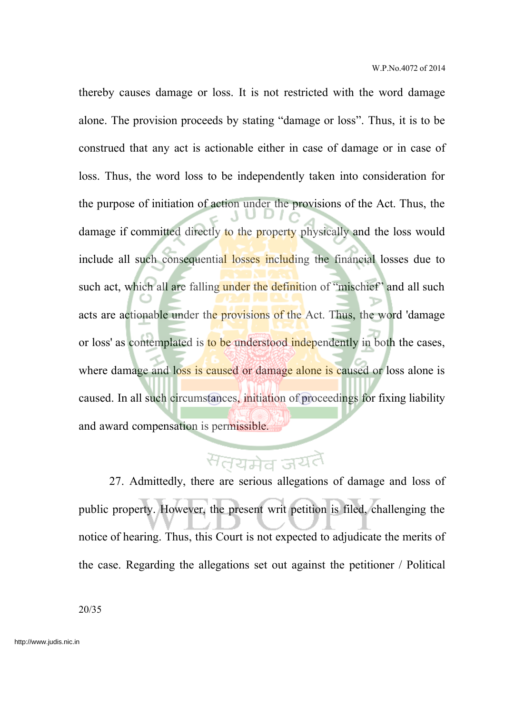thereby causes damage or loss. It is not restricted with the word damage alone. The provision proceeds by stating "damage or loss". Thus, it is to be construed that any act is actionable either in case of damage or in case of loss. Thus, the word loss to be independently taken into consideration for the purpose of initiation of action under the provisions of the Act. Thus, the damage if committed directly to the property physically and the loss would include all such consequential losses including the financial losses due to such act, which all are falling under the definition of "mischief" and all such acts are actionable under the provisions of the Act. Thus, the word 'damage or loss' as contemplated is to be understood independently in both the cases, where damage and loss is caused or damage alone is caused or loss alone is caused. In all such circumstances, initiation of proceedings for fixing liability and award compensation is permissible.

# सतयमेव जयतै

27. Admittedly, there are serious allegations of damage and loss of public property. However, the present writ petition is filed, challenging the notice of hearing. Thus, this Court is not expected to adjudicate the merits of the case. Regarding the allegations set out against the petitioner / Political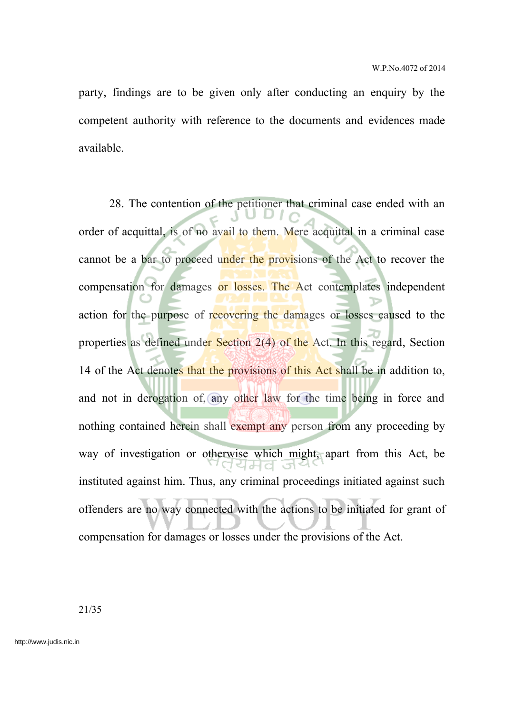party, findings are to be given only after conducting an enquiry by the competent authority with reference to the documents and evidences made available.

28. The contention of the petitioner that criminal case ended with an order of acquittal, is of no avail to them. Mere acquittal in a criminal case cannot be a bar to proceed under the provisions of the Act to recover the compensation for damages or losses. The Act contemplates independent action for the purpose of recovering the damages or losses caused to the properties as defined under Section 2(4) of the Act. In this regard, Section 14 of the Act denotes that the provisions of this Act shall be in addition to, and not in derogation of, any other law for the time being in force and nothing contained herein shall exempt any person from any proceeding by way of investigation or otherwise which might, apart from this Act, be instituted against him. Thus, any criminal proceedings initiated against such offenders are no way connected with the actions to be initiated for grant of compensation for damages or losses under the provisions of the Act.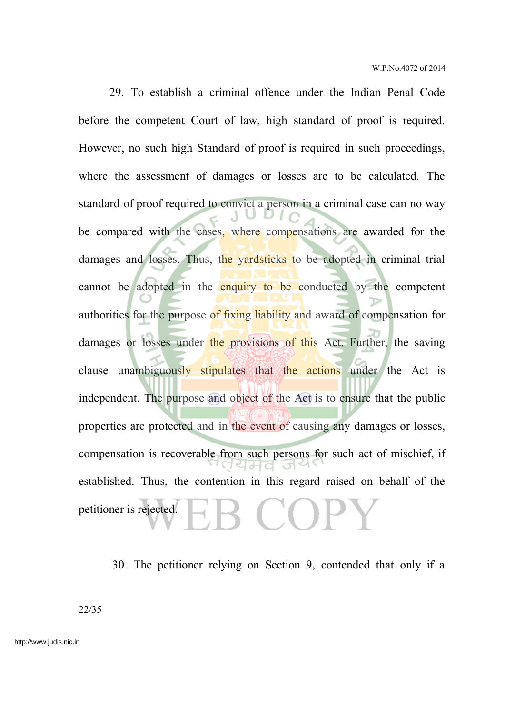29. To establish a criminal offence under the Indian Penal Code before the competent Court of law, high standard of proof is required. However, no such high Standard of proof is required in such proceedings, where the assessment of damages or losses are to be calculated. The standard of proof required to convict a person in a criminal case can no way be compared with the cases, where compensations are awarded for the damages and losses. Thus, the yardsticks to be adopted in criminal trial cannot be adopted in the enquiry to be conducted by the competent authorities for the purpose of fixing liability and award of compensation for damages or losses under the provisions of this Act. Further, the saving clause unambiguously stipulates that the actions under the Act is independent. The purpose and object of the Act is to ensure that the public properties are protected and in the event of causing any damages or losses, compensation is recoverable from such persons for such act of mischief, if established. Thus, the contention in this regard raised on behalf of the  $\Box$  ( ) ) is petitioner is rejected.

30. The petitioner relying on Section 9, contended that only if a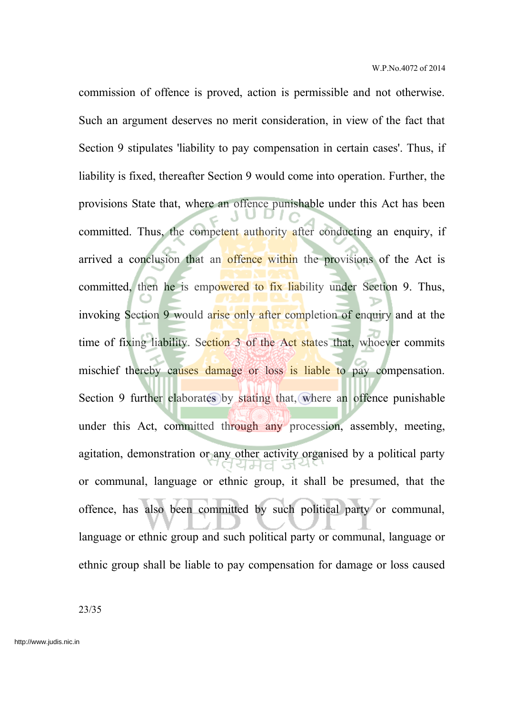commission of offence is proved, action is permissible and not otherwise. Such an argument deserves no merit consideration, in view of the fact that Section 9 stipulates 'liability to pay compensation in certain cases'. Thus, if liability is fixed, thereafter Section 9 would come into operation. Further, the provisions State that, where an offence punishable under this Act has been committed. Thus, the competent authority after conducting an enquiry, if arrived a conclusion that an offence within the provisions of the Act is committed, then he is empowered to fix liability under Section 9. Thus, invoking Section 9 would arise only after completion of enquiry and at the time of fixing liability. Section 3 of the Act states that, whoever commits mischief thereby causes damage or loss is liable to pay compensation. Section 9 further elaborates by stating that, where an offence punishable under this Act, committed through any procession, assembly, meeting, agitation, demonstration or any other activity organised by a political party or communal, language or ethnic group, it shall be presumed, that the offence, has also been committed by such political party or communal, language or ethnic group and such political party or communal, language or ethnic group shall be liable to pay compensation for damage or loss caused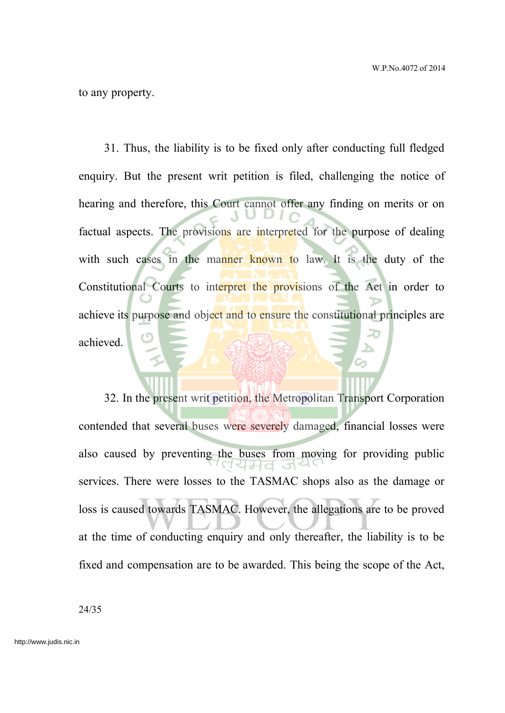to any property.

31. Thus, the liability is to be fixed only after conducting full fledged enquiry. But the present writ petition is filed, challenging the notice of hearing and therefore, this Court cannot offer any finding on merits or on factual aspects. The provisions are interpreted for the purpose of dealing with such cases in the manner known to law. It is the duty of the Constitutional Courts to interpret the provisions of the Act in order to achieve its purpose and object and to ensure the constitutional principles are achieved.

32. In the present writ petition, the Metropolitan Transport Corporation contended that several buses were severely damaged, financial losses were also caused by preventing the buses from moving for providing public services. There were losses to the TASMAC shops also as the damage or loss is caused towards TASMAC. However, the allegations are to be proved at the time of conducting enquiry and only thereafter, the liability is to be fixed and compensation are to be awarded. This being the scope of the Act,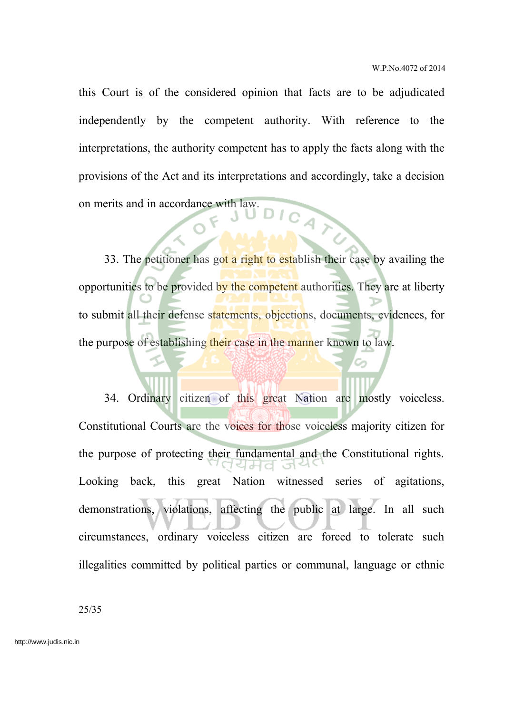this Court is of the considered opinion that facts are to be adjudicated independently by the competent authority. With reference to the interpretations, the authority competent has to apply the facts along with the provisions of the Act and its interpretations and accordingly, take a decision on merits and in accordance with law.

33. The petitioner has got a right to establish their case by availing the opportunities to be provided by the competent authorities. They are at liberty to submit all their defense statements, objections, documents, evidences, for the purpose of establishing their case in the manner known to law.

34. Ordinary citizen of this great Nation are mostly voiceless. Constitutional Courts are the voices for those voiceless majority citizen for the purpose of protecting their fundamental and the Constitutional rights. Looking back, this great Nation witnessed series of agitations, demonstrations, violations, affecting the public at large. In all such circumstances, ordinary voiceless citizen are forced to tolerate such illegalities committed by political parties or communal, language or ethnic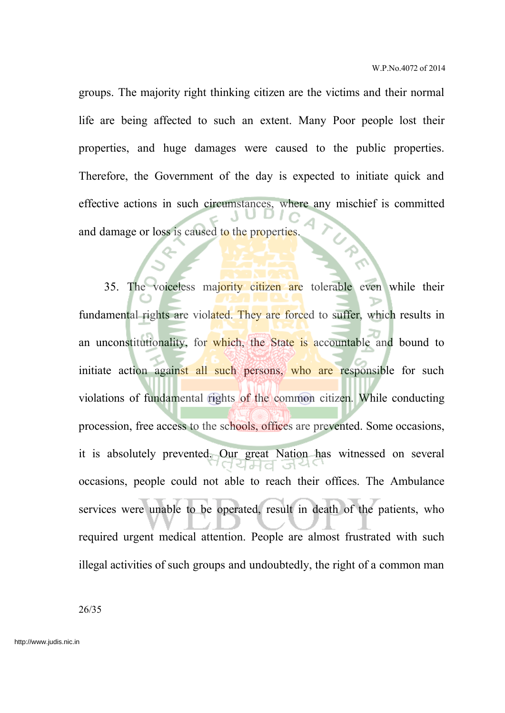groups. The majority right thinking citizen are the victims and their normal life are being affected to such an extent. Many Poor people lost their properties, and huge damages were caused to the public properties. Therefore, the Government of the day is expected to initiate quick and effective actions in such circumstances, where any mischief is committed and damage or loss is caused to the properties

35. The voiceless majority citizen are tolerable even while their fundamental rights are violated. They are forced to suffer, which results in an unconstitutionality, for which, the State is accountable and bound to initiate action against all such persons, who are responsible for such violations of fundamental rights of the common citizen. While conducting procession, free access to the schools, offices are prevented. Some occasions, it is absolutely prevented. Our great Nation has witnessed on several occasions, people could not able to reach their offices. The Ambulance services were unable to be operated, result in death of the patients, who required urgent medical attention. People are almost frustrated with such illegal activities of such groups and undoubtedly, the right of a common man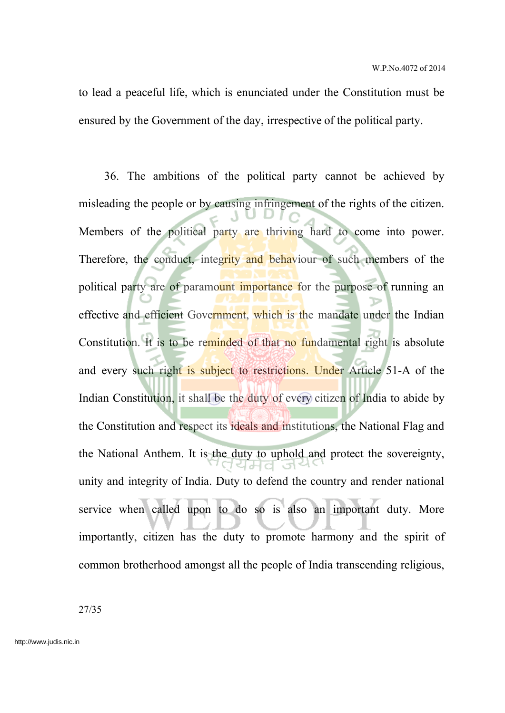to lead a peaceful life, which is enunciated under the Constitution must be ensured by the Government of the day, irrespective of the political party.

36. The ambitions of the political party cannot be achieved by misleading the people or by causing infringement of the rights of the citizen. Members of the political party are thriving hard to come into power. Therefore, the conduct, integrity and behaviour of such members of the political party are of paramount importance for the purpose of running an effective and efficient Government, which is the mandate under the Indian Constitution. It is to be reminded of that no fundamental right is absolute and every such right is subject to restrictions. Under Article 51-A of the Indian Constitution, it shall be the duty of every citizen of India to abide by the Constitution and respect its ideals and institutions, the National Flag and the National Anthem. It is the duty to uphold and protect the sovereignty, unity and integrity of India. Duty to defend the country and render national service when called upon to do so is also an important duty. More importantly, citizen has the duty to promote harmony and the spirit of common brotherhood amongst all the people of India transcending religious,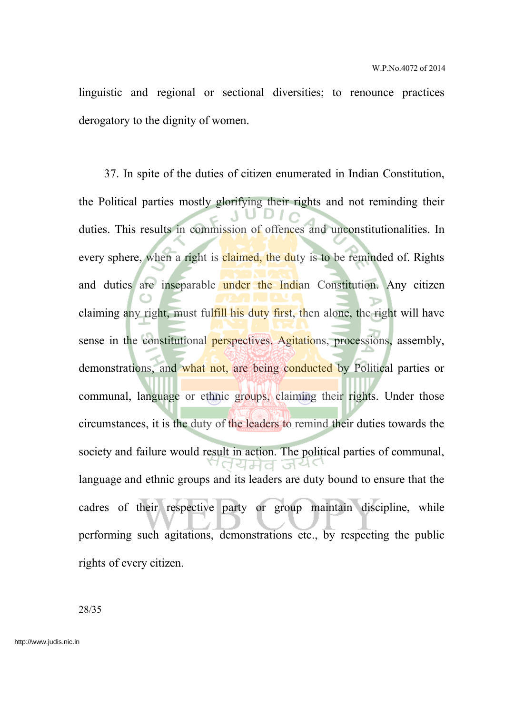linguistic and regional or sectional diversities; to renounce practices derogatory to the dignity of women.

37. In spite of the duties of citizen enumerated in Indian Constitution, the Political parties mostly glorifying their rights and not reminding their duties. This results in commission of offences and unconstitutionalities. In every sphere, when a right is **claimed**, the duty is to be reminded of. Rights and duties are inseparable under the Indian Constitution. Any citizen claiming any right, must fulfill his duty first, then alone, the right will have sense in the constitutional perspectives. Agitations, processions, assembly, demonstrations, and what not, are being conducted by Political parties or communal, language or ethnic groups, claiming their rights. Under those circumstances, it is the duty of the leaders to remind their duties towards the society and failure would result in action. The political parties of communal, ਰਪਸਰ ਤੋਂ। language and ethnic groups and its leaders are duty bound to ensure that the cadres of their respective party or group maintain discipline, while performing such agitations, demonstrations etc., by respecting the public rights of every citizen.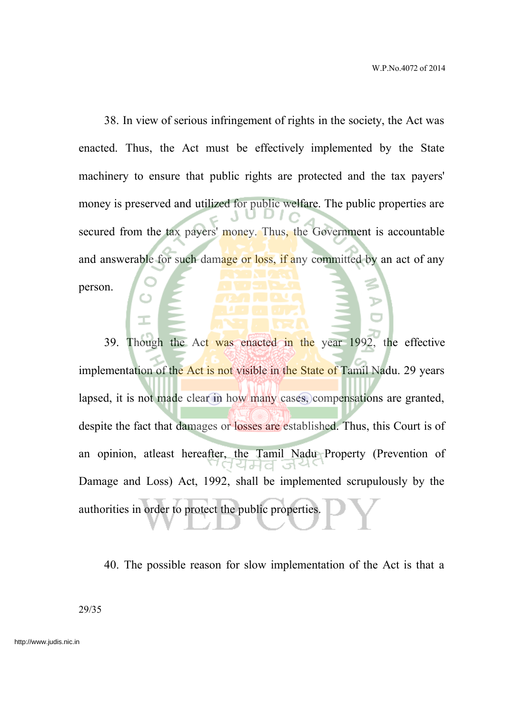38. In view of serious infringement of rights in the society, the Act was enacted. Thus, the Act must be effectively implemented by the State machinery to ensure that public rights are protected and the tax payers' money is preserved and utilized for public welfare. The public properties are secured from the tax payers' money. Thus, the Government is accountable and answerable for such damage or loss, if any committed by an act of any person.

39. Though the Act was enacted in the year 1992, the effective implementation of the Act is not visible in the State of Tamil Nadu. 29 years lapsed, it is not made clear in how many cases, compensations are granted, despite the fact that damages or losses are established. Thus, this Court is of an opinion, atleast hereafter, the Tamil Nadu Property (Prevention of Damage and Loss) Act, 1992, shall be implemented scrupulously by the authorities in order to protect the public properties.

40. The possible reason for slow implementation of the Act is that a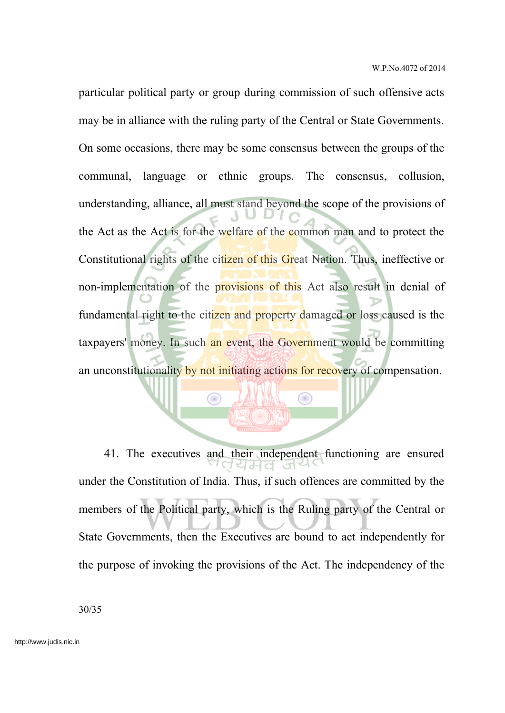particular political party or group during commission of such offensive acts may be in alliance with the ruling party of the Central or State Governments. On some occasions, there may be some consensus between the groups of the communal, language or ethnic groups. The consensus, collusion, understanding, alliance, all must stand beyond the scope of the provisions of the Act as the Act is for the welfare of the common man and to protect the Constitutional rights of the citizen of this Great Nation. Thus, ineffective or non-implementation of the provisions of this Act also result in denial of fundamental right to the citizen and property damaged or loss caused is the taxpayers' money. In such an event, the Government would be committing an unconstitutionality by not initiating actions for recovery of compensation.

41. The executives and their independent functioning are ensured under the Constitution of India. Thus, if such offences are committed by the members of the Political party, which is the Ruling party of the Central or State Governments, then the Executives are bound to act independently for the purpose of invoking the provisions of the Act. The independency of the

Œ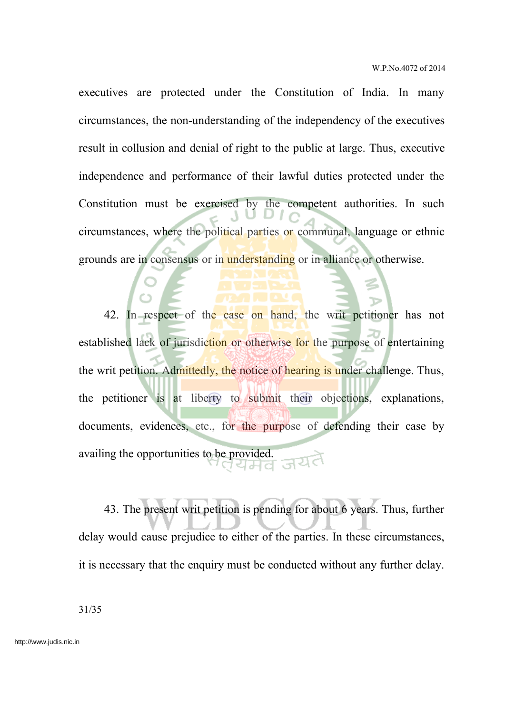executives are protected under the Constitution of India. In many circumstances, the non-understanding of the independency of the executives result in collusion and denial of right to the public at large. Thus, executive independence and performance of their lawful duties protected under the Constitution must be exercised by the competent authorities. In such circumstances, where the political parties or communal, language or ethnic grounds are in consensus or in understanding or in alliance or otherwise.

42. In respect of the case on hand, the writ petitioner has not established lack of jurisdiction or otherwise for the purpose of entertaining the writ petition. Admittedly, the notice of hearing is under challenge. Thus, the petitioner is at liberty to submit their objections, explanations, documents, evidences, etc., for the purpose of defending their case by availing the opportunities to be provided.

43. The present writ petition is pending for about 6 years. Thus, further delay would cause prejudice to either of the parties. In these circumstances, it is necessary that the enquiry must be conducted without any further delay.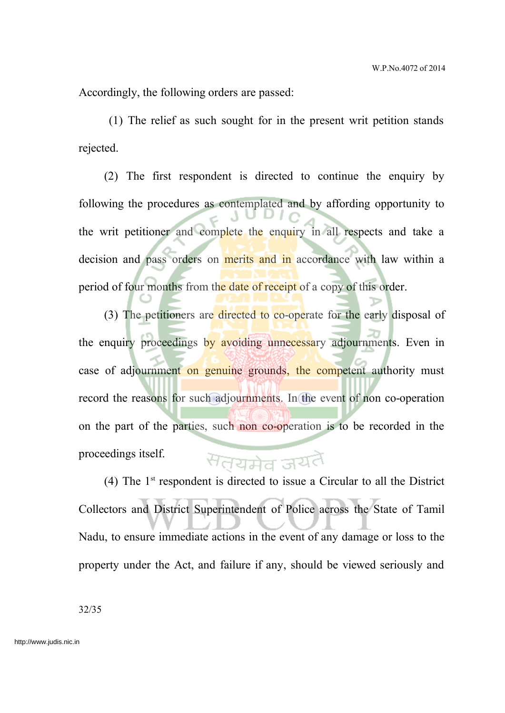Accordingly, the following orders are passed:

(1) The relief as such sought for in the present writ petition stands rejected.

(2) The first respondent is directed to continue the enquiry by following the procedures as contemplated and by affording opportunity to the writ petitioner and complete the enquiry in all respects and take a decision and pass orders on merits and in accordance with law within a period of four months from the date of receipt of a copy of this order.

(3) The petitioners are directed to co-operate for the early disposal of the enquiry proceedings by avoiding unnecessary adjournments. Even in case of adjournment on genuine grounds, the competent authority must record the reasons for such adjournments. In the event of non co-operation on the part of the parties, such non co-operation is to be recorded in the proceedings itself. सतयमेव जयतै

(4) The  $1<sup>st</sup>$  respondent is directed to issue a Circular to all the District Collectors and District Superintendent of Police across the State of Tamil Nadu, to ensure immediate actions in the event of any damage or loss to the property under the Act, and failure if any, should be viewed seriously and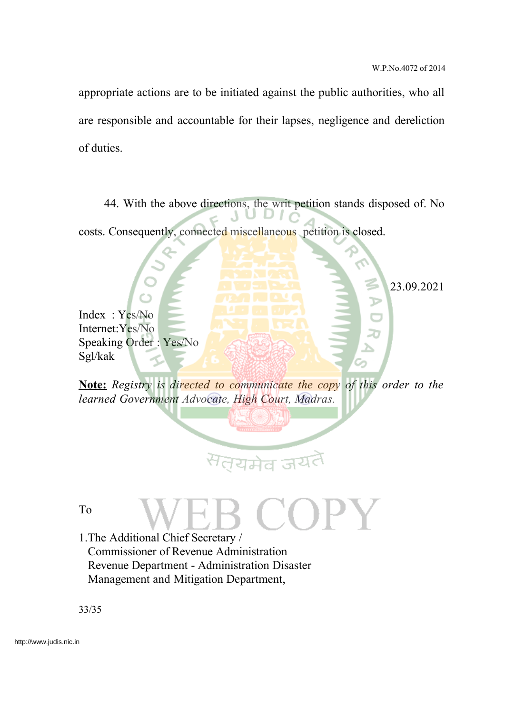23.09.2021

appropriate actions are to be initiated against the public authorities, who all are responsible and accountable for their lapses, negligence and dereliction of duties.

44. With the above directions, the writ petition stands disposed of. No costs. Consequently, connected miscellaneous petition is closed.

Index : Yes/No Internet:Yes/No Speaking Order : Yes/No Sgl/kak

**Note:** *Registry is directed to communicate the copy of this order to the learned Government Advocate, High Court, Madras.*

# यमेव ज

To

1.The Additional Chief Secretary / Commissioner of Revenue Administration Revenue Department - Administration Disaster Management and Mitigation Department,

33/35

http://www.judis.nic.in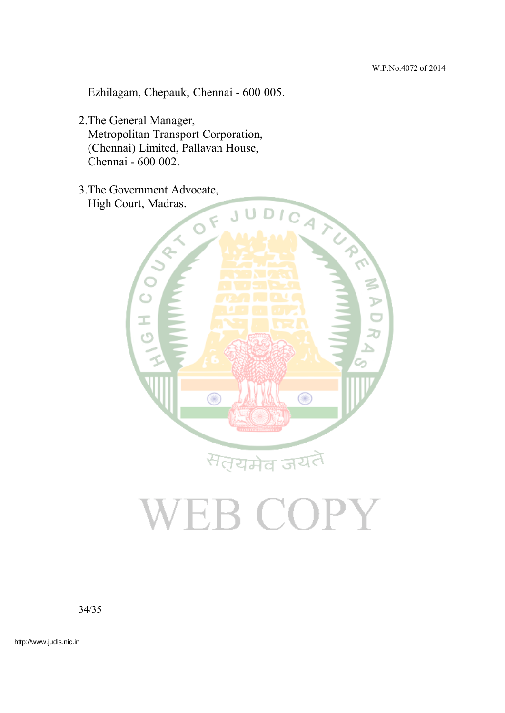Ezhilagam, Chepauk, Chennai - 600 005.

2.The General Manager, Metropolitan Transport Corporation, (Chennai) Limited, Pallavan House, Chennai - 600 002.

High Court, Madras.



# VEB COPY